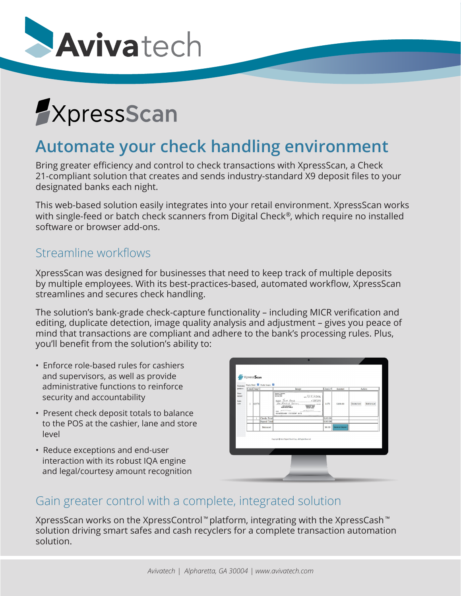



# **Automate your check handling environment**

Bring greater efficiency and control to check transactions with XpressScan, a Check 21-compliant solution that creates and sends industry-standard X9 deposit files to your designated banks each night.

This web-based solution easily integrates into your retail environment. XpressScan works with single-feed or batch check scanners from Digital Check®, which require no installed software or browser add-ons.

### Streamline workflows

XpressScan was designed for businesses that need to keep track of multiple deposits by multiple employees. With its best-practices-based, automated workflow, XpressScan streamlines and secures check handling.

The solution's bank-grade check-capture functionality – including MICR verification and editing, duplicate detection, image quality analysis and adjustment – gives you peace of mind that transactions are compliant and adhere to the bank's processing rules. Plus, you'll benefit from the solution's ability to:

- Enforce role-based rules for cashiers and supervisors, as well as provide administrative functions to reinforce security and accountability
- Present check deposit totals to balance to the POS at the cashier, lane and store level
- Reduce exceptions and end-user interaction with its robust IQA engine and legal/courtesy amount recognition

| Unername:<br>parker a             | Display Detail: 2 Display Images: 22<br>Count Seq# |       |                     | Image                                                                                                                                                                                                                                                                                                   | Check <sup>#</sup> | Amount                 | Action      |             |
|-----------------------------------|----------------------------------------------------|-------|---------------------|---------------------------------------------------------------------------------------------------------------------------------------------------------------------------------------------------------------------------------------------------------------------------------------------------------|--------------------|------------------------|-------------|-------------|
| Stare:<br>563215<br>Lane:<br>1234 | T.                                                 | 62578 |                     | Gregory J. Hampton<br>1234 Ary Simon<br>Your Town, USA<br>41412022<br>1700.00<br>Test Bank<br>NO SO THE<br>are Hundred Dellace<br><b>NORANDOFANIA</b><br><b>BANKLE-VOID</b><br>00 NGT GARD<br>MST DOGUMENT<br>MON-NEGOTIABLE<br>$\overline{\phantom{a}}$<br><b>Service</b><br>00610001500 2355503P 1573 | 1473               | \$100.00               | Delete item | Edit Amount |
|                                   |                                                    | ı     | <b>Checks Total</b> |                                                                                                                                                                                                                                                                                                         | \$100.00           |                        |             |             |
|                                   |                                                    |       | Deposit Total       |                                                                                                                                                                                                                                                                                                         | \$100.00           |                        |             |             |
|                                   |                                                    |       | Balanced            |                                                                                                                                                                                                                                                                                                         | S <sub>0.00</sub>  | <b>Balance Deposit</b> |             |             |
|                                   |                                                    |       |                     | Copyright @ 2022 Digital Check Corp., All Rights Reserved                                                                                                                                                                                                                                               |                    |                        |             |             |

## Gain greater control with a complete, integrated solution

XpressScan works on the XpressControl™platform, integrating with the XpressCash™ solution driving smart safes and cash recyclers for a complete transaction automation solution.